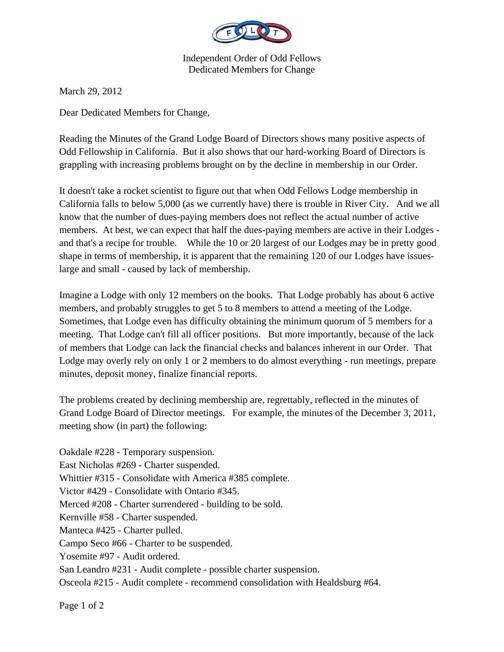

Independent Order of Odd Fellows Dedicated Members for Change

March 29, 2012

Dear Dedicated Members for Change,

Reading the Minutes of the Grand Lodge Board of Directors shows many positive aspects of Odd Fellowship in California. But it also shows that our hard-working Board of Directors is grappling with increasing problems brought on by the decline in membership in our Order.

It doesn't take a rocket scientist to figure out that when Odd Fellows Lodge membership in California falls to below 5,000 (as we currently have) there is trouble in River City. And we all know that the number of dues-paying members does not reflect the actual number of active members. At best, we can expect that half the dues-paying members are active in their Lodges and that's a recipe for trouble. While the 10 or 20 largest of our Lodges may be in pretty good shape in terms of membership, it is apparent that the remaining 120 of our Lodges have issueslarge and small - caused by lack of membership.

Imagine a Lodge with only 12 members on the books. That Lodge probably has about 6 active members, and probably struggles to get 5 to 8 members to attend a meeting of the Lodge. Sometimes, that Lodge even has difficulty obtaining the minimum quorum of 5 members for a meeting. That Lodge can't fill all officer positions. But more importantly, because of the lack of members that Lodge can lack the financial checks and balances inherent in our Order. That Lodge may overly rely on only 1 or 2 members to do almost everything - run meetings, prepare minutes, deposit money, finalize financial reports.

The problems created by declining membership are, regrettably, reflected in the minutes of Grand Lodge Board of Director meetings. For example, the minutes of the December 3, 2011, meeting show (in part) the following:

Oakdale #228 - Temporary suspension. East Nicholas #269 - Charter suspended. Whittier #315 - Consolidate with America #385 complete. Victor #429 - Consolidate with Ontario #345. Merced #208 - Charter surrendered - building to be sold. Kernville #58 - Charter suspended. Manteca #425 - Charter pulled. Campo Seco #66 - Charter to be suspended. Yosemite #97 - Audit ordered. San Leandro #231 - Audit complete - possible charter suspension. Osceola #215 - Audit complete - recommend consolidation with Healdsburg #64.

Page 1 of 2